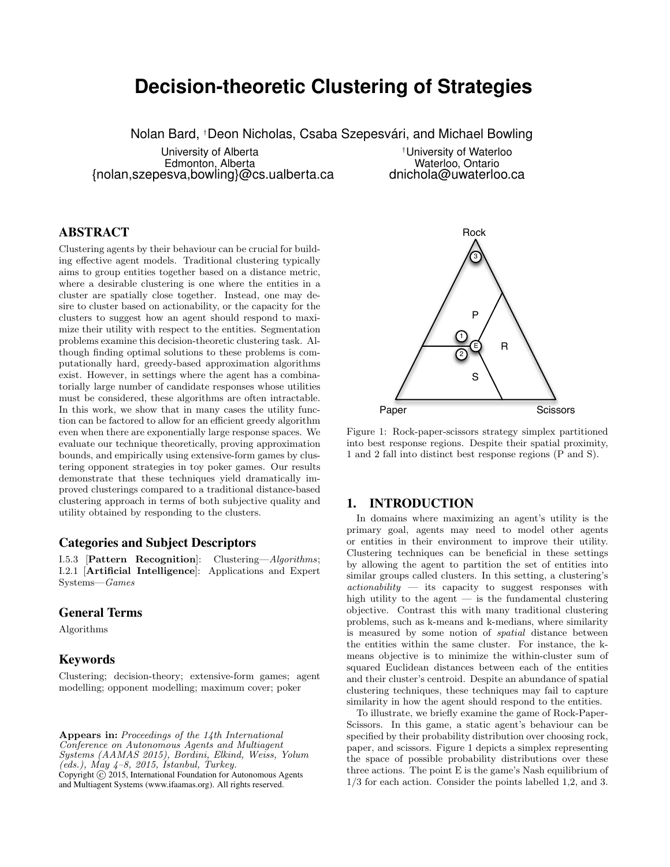# **Decision-theoretic Clustering of Strategies**

Nolan Bard, †Deon Nicholas, Csaba Szepesvári, and Michael Bowling

University of Alberta Edmonton, Alberta {nolan,szepesva,bowling}@cs.ualberta.ca

†University of Waterloo Waterloo, Ontario dnichola@uwaterloo.ca

# ABSTRACT

Clustering agents by their behaviour can be crucial for building effective agent models. Traditional clustering typically aims to group entities together based on a distance metric, where a desirable clustering is one where the entities in a cluster are spatially close together. Instead, one may desire to cluster based on actionability, or the capacity for the clusters to suggest how an agent should respond to maximize their utility with respect to the entities. Segmentation problems examine this decision-theoretic clustering task. Although finding optimal solutions to these problems is computationally hard, greedy-based approximation algorithms exist. However, in settings where the agent has a combinatorially large number of candidate responses whose utilities must be considered, these algorithms are often intractable. In this work, we show that in many cases the utility function can be factored to allow for an efficient greedy algorithm even when there are exponentially large response spaces. We evaluate our technique theoretically, proving approximation bounds, and empirically using extensive-form games by clustering opponent strategies in toy poker games. Our results demonstrate that these techniques yield dramatically improved clusterings compared to a traditional distance-based clustering approach in terms of both subjective quality and utility obtained by responding to the clusters.

# Categories and Subject Descriptors

I.5.3 [Pattern Recognition]: Clustering—Algorithms; I.2.1 [Artificial Intelligence]: Applications and Expert Systems—Games

# General Terms

Algorithms

# Keywords

Clustering; decision-theory; extensive-form games; agent modelling; opponent modelling; maximum cover; poker

Appears in: Proceedings of the 14th International Conference on Autonomous Agents and Multiagent Systems (AAMAS 2015), Bordini, Elkind, Weiss, Yolum  $(\text{eds.}),$   $\text{May }$  4-8, 2015, Istanbul, Turkey. Copyright  $\overline{c}$  2015, International Foundation for Autonomous Agents and Multiagent Systems (www.ifaamas.org). All rights reserved.



Figure 1: Rock-paper-scissors strategy simplex partitioned into best response regions. Despite their spatial proximity, 1 and 2 fall into distinct best response regions (P and S).

# 1. INTRODUCTION

In domains where maximizing an agent's utility is the primary goal, agents may need to model other agents or entities in their environment to improve their utility. Clustering techniques can be beneficial in these settings by allowing the agent to partition the set of entities into similar groups called clusters. In this setting, a clustering's  $actionability$  — its capacity to suggest responses with high utility to the agent  $-$  is the fundamental clustering objective. Contrast this with many traditional clustering problems, such as k-means and k-medians, where similarity is measured by some notion of spatial distance between the entities within the same cluster. For instance, the kmeans objective is to minimize the within-cluster sum of squared Euclidean distances between each of the entities and their cluster's centroid. Despite an abundance of spatial clustering techniques, these techniques may fail to capture similarity in how the agent should respond to the entities.

To illustrate, we briefly examine the game of Rock-Paper-Scissors. In this game, a static agent's behaviour can be specified by their probability distribution over choosing rock, paper, and scissors. Figure 1 depicts a simplex representing the space of possible probability distributions over these three actions. The point E is the game's Nash equilibrium of 1/3 for each action. Consider the points labelled 1,2, and 3.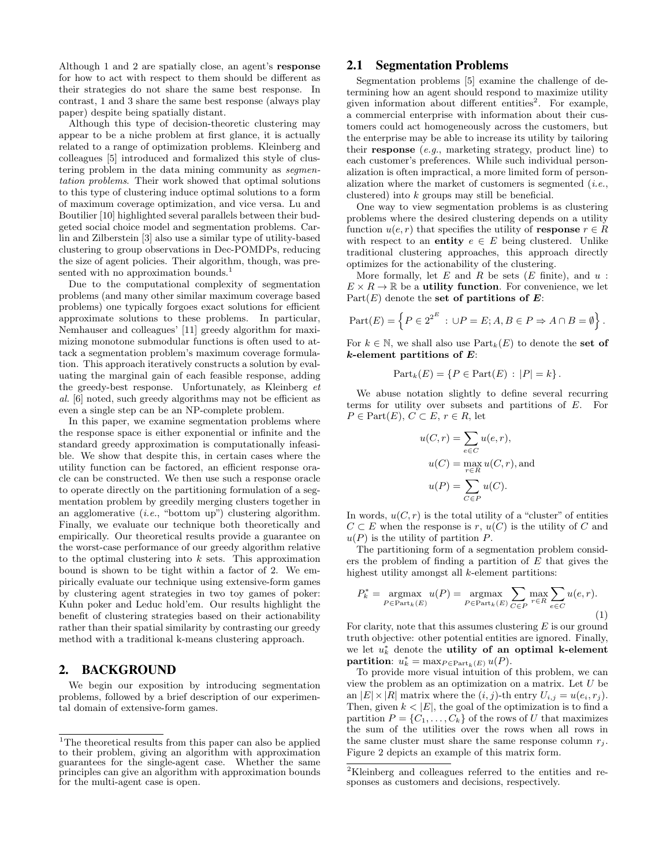Although 1 and 2 are spatially close, an agent's response for how to act with respect to them should be different as their strategies do not share the same best response. In contrast, 1 and 3 share the same best response (always play paper) despite being spatially distant.

Although this type of decision-theoretic clustering may appear to be a niche problem at first glance, it is actually related to a range of optimization problems. Kleinberg and colleagues [5] introduced and formalized this style of clustering problem in the data mining community as segmentation problems. Their work showed that optimal solutions to this type of clustering induce optimal solutions to a form of maximum coverage optimization, and vice versa. Lu and Boutilier [10] highlighted several parallels between their budgeted social choice model and segmentation problems. Carlin and Zilberstein [3] also use a similar type of utility-based clustering to group observations in Dec-POMDPs, reducing the size of agent policies. Their algorithm, though, was presented with no approximation bounds.<sup>1</sup>

Due to the computational complexity of segmentation problems (and many other similar maximum coverage based problems) one typically forgoes exact solutions for efficient approximate solutions to these problems. In particular, Nemhauser and colleagues' [11] greedy algorithm for maximizing monotone submodular functions is often used to attack a segmentation problem's maximum coverage formulation. This approach iteratively constructs a solution by evaluating the marginal gain of each feasible response, adding the greedy-best response. Unfortunately, as Kleinberg et al. [6] noted, such greedy algorithms may not be efficient as even a single step can be an NP-complete problem.

In this paper, we examine segmentation problems where the response space is either exponential or infinite and the standard greedy approximation is computationally infeasible. We show that despite this, in certain cases where the utility function can be factored, an efficient response oracle can be constructed. We then use such a response oracle to operate directly on the partitioning formulation of a segmentation problem by greedily merging clusters together in an agglomerative  $(i.e., "bottom up")$  clustering algorithm. Finally, we evaluate our technique both theoretically and empirically. Our theoretical results provide a guarantee on the worst-case performance of our greedy algorithm relative to the optimal clustering into  $k$  sets. This approximation bound is shown to be tight within a factor of 2. We empirically evaluate our technique using extensive-form games by clustering agent strategies in two toy games of poker: Kuhn poker and Leduc hold'em. Our results highlight the benefit of clustering strategies based on their actionability rather than their spatial similarity by contrasting our greedy method with a traditional k-means clustering approach.

# 2. BACKGROUND

We begin our exposition by introducing segmentation problems, followed by a brief description of our experimental domain of extensive-form games.

# 2.1 Segmentation Problems

Segmentation problems [5] examine the challenge of determining how an agent should respond to maximize utility given information about different entities<sup>2</sup>. For example, a commercial enterprise with information about their customers could act homogeneously across the customers, but the enterprise may be able to increase its utility by tailoring their response (e.g., marketing strategy, product line) to each customer's preferences. While such individual personalization is often impractical, a more limited form of personalization where the market of customers is segmented  $(i.e.,$ clustered) into k groups may still be beneficial.

One way to view segmentation problems is as clustering problems where the desired clustering depends on a utility function  $u(e, r)$  that specifies the utility of **response**  $r \in R$ with respect to an entity  $e \in E$  being clustered. Unlike traditional clustering approaches, this approach directly optimizes for the actionability of the clustering.

More formally, let  $E$  and  $R$  be sets  $(E$  finite), and  $u$ :  $E \times R \to \mathbb{R}$  be a **utility function**. For convenience, we let  $Part(E)$  denote the set of partitions of E:

$$
Part(E) = \left\{ P \in 2^{2^E} : \cup P = E; A, B \in P \Rightarrow A \cap B = \emptyset \right\}.
$$

For  $k \in \mathbb{N}$ , we shall also use  $Part_k(E)$  to denote the set of  $k$ -element partitions of  $E$ :

$$
Part_k(E) = \{ P \in Part(E) : |P| = k \}.
$$

We abuse notation slightly to define several recurring terms for utility over subsets and partitions of E. For  $P \in Part(E), C \subset E, r \in R$ , let

$$
u(C,r) = \sum_{e \in C} u(e,r),
$$
  
\n
$$
u(C) = \max_{r \in R} u(C,r),
$$
 and  
\n
$$
u(P) = \sum_{C \in P} u(C).
$$

In words,  $u(C, r)$  is the total utility of a "cluster" of entities  $C \subset E$  when the response is r,  $u(C)$  is the utility of C and  $u(P)$  is the utility of partition P.

The partitioning form of a segmentation problem considers the problem of finding a partition of  $E$  that gives the highest utility amongst all k-element partitions:

$$
P_k^* = \underset{P \in \text{Part}_k(E)}{\text{argmax}} u(P) = \underset{P \in \text{Part}_k(E)}{\text{argmax}} \sum_{C \in P} \underset{r \in R}{\text{max}} \sum_{e \in C} u(e, r).
$$
\n(1)

For clarity, note that this assumes clustering  $E$  is our ground truth objective: other potential entities are ignored. Finally, we let  $u_k^*$  denote the utility of an optimal k-element partition:  $u_k^* = \max_{P \in \text{Part}_k(E)} u(P)$ .

To provide more visual intuition of this problem, we can view the problem as an optimization on a matrix. Let  $U$  be an  $|E| \times |R|$  matrix where the  $(i, j)$ -th entry  $U_{i,j} = u(e_i, r_j)$ . Then, given  $k < |E|$ , the goal of the optimization is to find a partition  $P = \{C_1, \ldots, C_k\}$  of the rows of U that maximizes the sum of the utilities over the rows when all rows in the same cluster must share the same response column  $r_j$ . Figure 2 depicts an example of this matrix form.

 $1$ The theoretical results from this paper can also be applied to their problem, giving an algorithm with approximation guarantees for the single-agent case. Whether the same principles can give an algorithm with approximation bounds for the multi-agent case is open.

<sup>2</sup>Kleinberg and colleagues referred to the entities and responses as customers and decisions, respectively.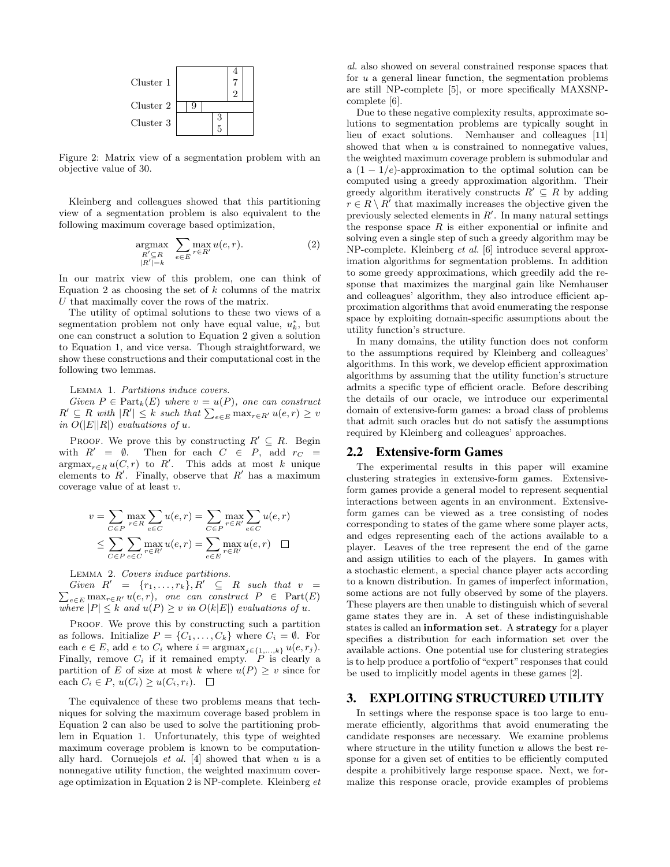

Figure 2: Matrix view of a segmentation problem with an objective value of 30.

Kleinberg and colleagues showed that this partitioning view of a segmentation problem is also equivalent to the following maximum coverage based optimization,

$$
\underset{\substack{R' \subseteq R \\ |R'| = k}}{\text{argmax}} \quad \sum_{e \in E} \max_{r \in R'} u(e, r). \tag{2}
$$

In our matrix view of this problem, one can think of Equation 2 as choosing the set of  $k$  columns of the matrix U that maximally cover the rows of the matrix.

The utility of optimal solutions to these two views of a segmentation problem not only have equal value,  $u_k^*$ , but one can construct a solution to Equation 2 given a solution to Equation 1, and vice versa. Though straightforward, we show these constructions and their computational cost in the following two lemmas.

Lemma 1. Partitions induce covers.

Given  $P \in \text{Part}_k(E)$  where  $v = u(P)$ , one can construct  $R' \subseteq R$  with  $|R'| \leq k$  such that  $\sum_{e \in E} \max_{r \in R'} u(e, r) \geq v$ in  $O(|E||R|)$  evaluations of u.

PROOF. We prove this by constructing  $R' \subseteq R$ . Begin with  $R' = \emptyset$ . Then for each  $C \in P$ , add  $r_C =$  $\operatorname{argmax}_{r \in R} u(C, r)$  to R'. This adds at most k unique elements to  $R'$ . Finally, observe that  $R'$  has a maximum coverage value of at least v.

$$
v = \sum_{C \in P} \max_{r \in R} \sum_{e \in C} u(e,r) = \sum_{C \in P} \max_{r \in R'} \sum_{e \in C} u(e,r)
$$
  

$$
\leq \sum_{C \in P} \sum_{e \in C} \max_{r \in R'} u(e,r) = \sum_{e \in E} \max_{r \in R'} u(e,r) \quad \Box
$$

Lemma 2. Covers induce partitions.

Given  $R' = \{r_1, \ldots, r_k\}, R'$ P  $\subseteq$  R such that  $v =$  $e \in E$  max $r \in R'$  u(e, r), one can construct  $P \in Part(E)$ where  $|P| \leq k$  and  $u(P) \geq v$  in  $O(k|E|)$  evaluations of u.

PROOF. We prove this by constructing such a partition as follows. Initialize  $P = \{C_1, \ldots, C_k\}$  where  $C_i = \emptyset$ . For each  $e \in E$ , add  $e$  to  $C_i$  where  $i = \operatorname{argmax}_{j \in \{1, ..., k\}} u(e, r_j)$ . Finally, remove  $C_i$  if it remained empty.  $P$  is clearly a partition of E of size at most k where  $u(P) \geq v$  since for each  $C_i \in P$ ,  $u(C_i) \geq u(C_i, r_i)$ .  $\Box$ 

The equivalence of these two problems means that techniques for solving the maximum coverage based problem in Equation 2 can also be used to solve the partitioning problem in Equation 1. Unfortunately, this type of weighted maximum coverage problem is known to be computationally hard. Cornuejols  $et \ al. \ [4]$  showed that when  $u$  is a nonnegative utility function, the weighted maximum coverage optimization in Equation 2 is NP-complete. Kleinberg et

al. also showed on several constrained response spaces that for  $u$  a general linear function, the segmentation problems are still NP-complete [5], or more specifically MAXSNPcomplete [6].

Due to these negative complexity results, approximate solutions to segmentation problems are typically sought in lieu of exact solutions. Nemhauser and colleagues [11] showed that when  $u$  is constrained to nonnegative values, the weighted maximum coverage problem is submodular and a  $(1 - 1/e)$ -approximation to the optimal solution can be computed using a greedy approximation algorithm. Their greedy algorithm iteratively constructs  $R' \subseteq R$  by adding  $r \in R \setminus R'$  that maximally increases the objective given the previously selected elements in  $R'$ . In many natural settings the response space  $R$  is either exponential or infinite and solving even a single step of such a greedy algorithm may be NP-complete. Kleinberg et al. [6] introduce several approximation algorithms for segmentation problems. In addition to some greedy approximations, which greedily add the response that maximizes the marginal gain like Nemhauser and colleagues' algorithm, they also introduce efficient approximation algorithms that avoid enumerating the response space by exploiting domain-specific assumptions about the utility function's structure.

In many domains, the utility function does not conform to the assumptions required by Kleinberg and colleagues' algorithms. In this work, we develop efficient approximation algorithms by assuming that the utility function's structure admits a specific type of efficient oracle. Before describing the details of our oracle, we introduce our experimental domain of extensive-form games: a broad class of problems that admit such oracles but do not satisfy the assumptions required by Kleinberg and colleagues' approaches.

#### 2.2 Extensive-form Games

The experimental results in this paper will examine clustering strategies in extensive-form games. Extensiveform games provide a general model to represent sequential interactions between agents in an environment. Extensiveform games can be viewed as a tree consisting of nodes corresponding to states of the game where some player acts, and edges representing each of the actions available to a player. Leaves of the tree represent the end of the game and assign utilities to each of the players. In games with a stochastic element, a special chance player acts according to a known distribution. In games of imperfect information, some actions are not fully observed by some of the players. These players are then unable to distinguish which of several game states they are in. A set of these indistinguishable states is called an information set. A strategy for a player specifies a distribution for each information set over the available actions. One potential use for clustering strategies is to help produce a portfolio of "expert" responses that could be used to implicitly model agents in these games [2].

# 3. EXPLOITING STRUCTURED UTILITY

In settings where the response space is too large to enumerate efficiently, algorithms that avoid enumerating the candidate responses are necessary. We examine problems where structure in the utility function  $u$  allows the best response for a given set of entities to be efficiently computed despite a prohibitively large response space. Next, we formalize this response oracle, provide examples of problems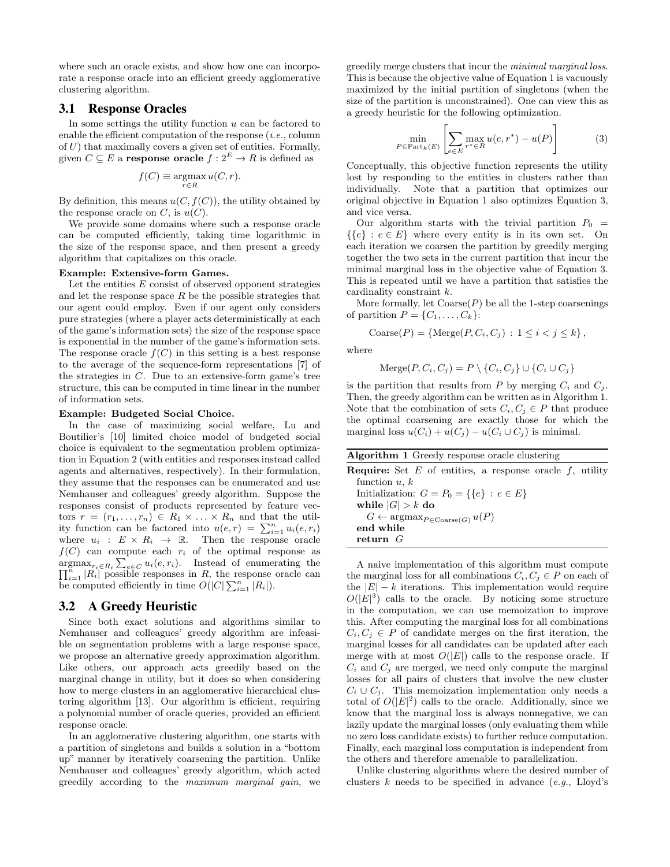where such an oracle exists, and show how one can incorporate a response oracle into an efficient greedy agglomerative clustering algorithm.

## 3.1 Response Oracles

In some settings the utility function  $u$  can be factored to enable the efficient computation of the response  $(i.e.,$  column of  $U$ ) that maximally covers a given set of entities. Formally, given  $C \subseteq E$  a **response oracle**  $f : 2^E \to R$  is defined as

$$
f(C) \equiv \operatorname*{argmax}_{r \in R} u(C, r).
$$

By definition, this means  $u(C, f(C))$ , the utility obtained by the response oracle on  $C$ , is  $u(C)$ .

We provide some domains where such a response oracle can be computed efficiently, taking time logarithmic in the size of the response space, and then present a greedy algorithm that capitalizes on this oracle.

#### Example: Extensive-form Games.

Let the entities  $E$  consist of observed opponent strategies and let the response space  $R$  be the possible strategies that our agent could employ. Even if our agent only considers pure strategies (where a player acts deterministically at each of the game's information sets) the size of the response space is exponential in the number of the game's information sets. The response oracle  $f(C)$  in this setting is a best response to the average of the sequence-form representations [7] of the strategies in  $C$ . Due to an extensive-form game's tree structure, this can be computed in time linear in the number of information sets.

#### Example: Budgeted Social Choice.

In the case of maximizing social welfare, Lu and Boutilier's [10] limited choice model of budgeted social choice is equivalent to the segmentation problem optimization in Equation 2 (with entities and responses instead called agents and alternatives, respectively). In their formulation, they assume that the responses can be enumerated and use Nemhauser and colleagues' greedy algorithm. Suppose the responses consist of products represented by feature vectors  $r = (r_1, \ldots, r_n) \in R_1 \times \ldots \times R_n$  and that the utility function can be factored into  $u(e,r) = \sum_{i=1}^{n} u_i(e,r_i)$ where  $u_i : E \times R_i \rightarrow \mathbb{R}$ . Then the response oracle  $f(C)$  can compute each  $r_i$  of the optimal response as  $\prod_{i=1}^n |R_i|$  possible responses in R, the response oracle can<br> $\prod_{i=1}^n |R_i|$  possible responses in R, the response oracle can  $\sum_{i=1}^{n} |R_i|$  possible responses in R, the response oracle can be computed efficiently in time  $O(|C| \sum_{i=1}^n |R_i|)$ .

## 3.2 A Greedy Heuristic

Since both exact solutions and algorithms similar to Nemhauser and colleagues' greedy algorithm are infeasible on segmentation problems with a large response space, we propose an alternative greedy approximation algorithm. Like others, our approach acts greedily based on the marginal change in utility, but it does so when considering how to merge clusters in an agglomerative hierarchical clustering algorithm [13]. Our algorithm is efficient, requiring a polynomial number of oracle queries, provided an efficient response oracle.

In an agglomerative clustering algorithm, one starts with a partition of singletons and builds a solution in a "bottom up" manner by iteratively coarsening the partition. Unlike Nemhauser and colleagues' greedy algorithm, which acted greedily according to the maximum marginal gain, we greedily merge clusters that incur the minimal marginal loss. This is because the objective value of Equation 1 is vacuously maximized by the initial partition of singletons (when the size of the partition is unconstrained). One can view this as a greedy heuristic for the following optimization.

$$
\min_{P \in \text{Part}_k(E)} \left[ \sum_{e \in E} \max_{r^* \in R} u(e, r^*) - u(P) \right] \tag{3}
$$

Conceptually, this objective function represents the utility lost by responding to the entities in clusters rather than individually. Note that a partition that optimizes our original objective in Equation 1 also optimizes Equation 3, and vice versa.

Our algorithm starts with the trivial partition  $P_0$  =  $\{\{e\} : e \in E\}$  where every entity is in its own set. On each iteration we coarsen the partition by greedily merging together the two sets in the current partition that incur the minimal marginal loss in the objective value of Equation 3. This is repeated until we have a partition that satisfies the cardinality constraint k.

More formally, let  $\text{Coarse}(P)$  be all the 1-step coarsenings of partition  $P = \{C_1, \ldots, C_k\}$ :

$$
Coarse(P) = \{ \text{Merge}(P, C_i, C_j) : 1 \leq i < j \leq k \},
$$

where

$$
Merge(P, C_i, C_j) = P \setminus \{C_i, C_j\} \cup \{C_i \cup C_j\}
$$

is the partition that results from P by merging  $C_i$  and  $C_j$ . Then, the greedy algorithm can be written as in Algorithm 1. Note that the combination of sets  $C_i, C_j \in P$  that produce the optimal coarsening are exactly those for which the marginal loss  $u(C_i) + u(C_j) - u(C_i \cup C_j)$  is minimal.

| Algorithm 1 Greedy response oracle clustering |  |  |  |
|-----------------------------------------------|--|--|--|
|                                               |  |  |  |

| <b>Require:</b> Set $E$ of entities, a response oracle $f$ , utility       |  |
|----------------------------------------------------------------------------|--|
| function $u, k$                                                            |  |
| Initialization: $G = P_0 = \{ \{e\} : e \in E \}$                          |  |
| while $ G  > k$ do                                                         |  |
| $G \leftarrow \operatorname{argmax}_{P \in \operatorname{Coarse}(G)} u(P)$ |  |
| end while                                                                  |  |
| return $G$                                                                 |  |

A naive implementation of this algorithm must compute the marginal loss for all combinations  $C_i, C_j \in P$  on each of the  $|E| - k$  iterations. This implementation would require  $O(|E|^3)$  calls to the oracle. By noticing some structure in the computation, we can use memoization to improve this. After computing the marginal loss for all combinations  $C_i, C_j \in P$  of candidate merges on the first iteration, the marginal losses for all candidates can be updated after each merge with at most  $O(|E|)$  calls to the response oracle. If  $C_i$  and  $C_j$  are merged, we need only compute the marginal losses for all pairs of clusters that involve the new cluster  $C_i \cup C_j$ . This memoization implementation only needs a total of  $O(|E|^2)$  calls to the oracle. Additionally, since we know that the marginal loss is always nonnegative, we can lazily update the marginal losses (only evaluating them while no zero loss candidate exists) to further reduce computation. Finally, each marginal loss computation is independent from the others and therefore amenable to parallelization.

Unlike clustering algorithms where the desired number of clusters  $k$  needs to be specified in advance  $(e.g., Lloyd's$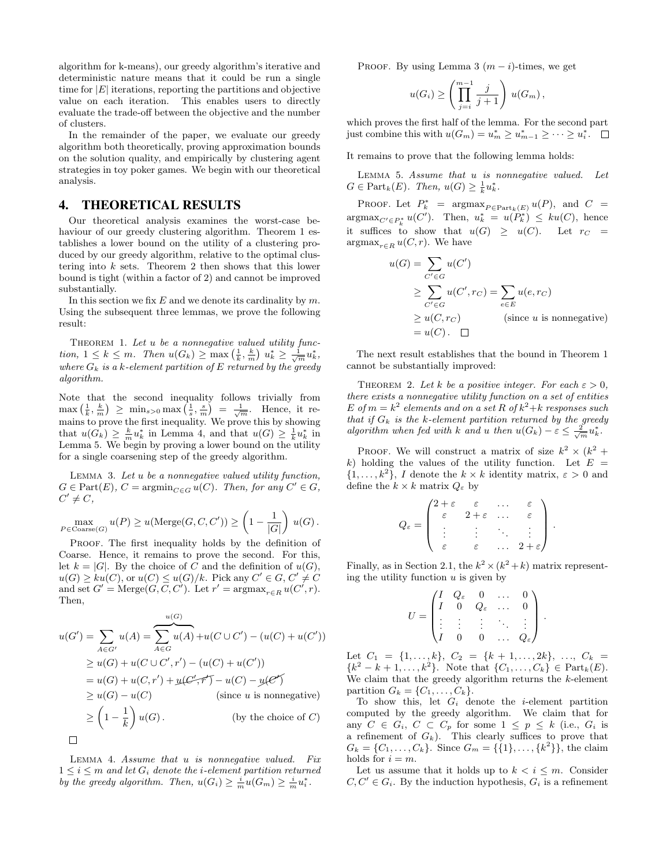algorithm for k-means), our greedy algorithm's iterative and deterministic nature means that it could be run a single time for  $|E|$  iterations, reporting the partitions and objective value on each iteration. This enables users to directly evaluate the trade-off between the objective and the number of clusters.

In the remainder of the paper, we evaluate our greedy algorithm both theoretically, proving approximation bounds on the solution quality, and empirically by clustering agent strategies in toy poker games. We begin with our theoretical analysis.

# 4. THEORETICAL RESULTS

Our theoretical analysis examines the worst-case behaviour of our greedy clustering algorithm. Theorem 1 establishes a lower bound on the utility of a clustering produced by our greedy algorithm, relative to the optimal clustering into  $k$  sets. Theorem 2 then shows that this lower bound is tight (within a factor of 2) and cannot be improved substantially.

In this section we fix  $E$  and we denote its cardinality by  $m$ . Using the subsequent three lemmas, we prove the following result:

THEOREM 1. Let u be a nonnegative valued utility function,  $1 \leq k \leq m$ . Then  $u(G_k) \geq \max\left(\frac{1}{k}, \frac{k}{m}\right) u_k^* \geq \frac{1}{\sqrt{m}} u_k^*$ , where  $G_k$  is a k-element partition of E returned by the greedy algorithm.

Note that the second inequality follows trivially from  $\max\left(\frac{1}{k},\frac{k}{m}\right) \geq \min_{s>0} \max\left(\frac{1}{s},\frac{s}{m}\right) = \frac{1}{\sqrt{m}}.$  Hence, it remains to prove the first inequality. We prove this by showing that  $u(G_k) \geq \frac{k}{m} u_k^*$  in Lemma 4, and that  $u(G) \geq \frac{1}{k} u_k^*$  in Lemma 5. We begin by proving a lower bound on the utility for a single coarsening step of the greedy algorithm.

LEMMA 3. Let  $u$  be a nonnegative valued utility function,  $G \in Part(E), C = \operatorname{argmin}_{C \in G} u(C)$ . Then, for any  $C' \in G$ ,  $C' \neq C$ ,

$$
\max_{P \in \text{Coarse}(G)} u(P) \ge u(\text{Merge}(G, C, C')) \ge \left(1 - \frac{1}{|G|}\right) u(G).
$$

PROOF. The first inequality holds by the definition of Coarse. Hence, it remains to prove the second. For this, let  $k = |G|$ . By the choice of C and the definition of  $u(G)$ ,  $u(G) \geq ku(C)$ , or  $u(C) \leq u(G)/k$ . Pick any  $C' \in G, C' \neq C$ and set  $G' = \text{Merge}(G, C, C')$ . Let  $r' = \text{argmax}_{r \in R} u(C', r)$ . Then,

$$
u(G') = \sum_{A \in G'} u(A) = \sum_{A \in G} u(A) + u(C \cup C') - (u(C) + u(C'))
$$
  
\n
$$
\geq u(G) + u(C \cup C', r') - (u(C) + u(C'))
$$
  
\n
$$
= u(G) + u(C, r') + u(C', \tau') - u(C) - u(C')
$$
  
\n
$$
\geq u(G) - u(C) \qquad \text{(since } u \text{ is nonnegative)}
$$
  
\n
$$
\geq \left(1 - \frac{1}{k}\right)u(G).
$$
  
\n
$$
\Box
$$

LEMMA 4. Assume that u is nonnegative valued. Fix  $1 \leq i \leq m$  and let  $G_i$  denote the *i*-element partition returned by the greedy algorithm. Then,  $u(G_i) \geq \frac{i}{m} u(G_m) \geq \frac{i}{m} u_i^*$ .

PROOF. By using Lemma 3  $(m - i)$ -times, we get

$$
u(G_i) \ge \left(\prod_{j=i}^{m-1} \frac{j}{j+1}\right) u(G_m),
$$

which proves the first half of the lemma. For the second part just combine this with  $u(G_m) = u_m^* \ge u_{m-1}^* \ge \cdots \ge u_i^*$ .

It remains to prove that the following lemma holds:

LEMMA 5. Assume that  $u$  is nonnegative valued. Let  $G \in \text{Part}_k(E)$ . Then,  $u(G) \geq \frac{1}{k}u_k^*$ .

PROOF. Let  $P_k^*$  =  $argmax_{P \in Part_k(E)} u(P)$ , and  $C$  =  $\arg \max_{C' \in P_k^*} u(C')$ . Then,  $u_k^* = u(P_k^*) \leq ku(C)$ , hence it suffices to show that  $u(G) \geq u(C)$ . Let  $r_C =$  $\operatorname{argmax}_{r \in R} u(C, r)$ . We have

$$
u(G) = \sum_{C' \in G} u(C')
$$
  
\n
$$
\geq \sum_{C' \in G} u(C', rc) = \sum_{e \in E} u(e, rc)
$$
  
\n
$$
\geq u(C, rc)
$$
 (since *u* is nonnegative)  
\n
$$
= u(C). \quad \Box
$$

The next result establishes that the bound in Theorem 1 cannot be substantially improved:

THEOREM 2. Let k be a positive integer. For each  $\varepsilon > 0$ , there exists a nonnegative utility function on a set of entities E of  $m = k^2$  elements and on a set R of  $k^2+k$  responses such that if  $G_k$  is the k-element partition returned by the greedy algorithm when fed with k and u then  $u(G_k) - \varepsilon \leq \frac{2}{\sqrt{m}} u_k^*$ .

PROOF. We will construct a matrix of size  $k^2 \times (k^2 +$ k) holding the values of the utility function. Let  $E =$  $\{1,\ldots,k^2\},\ I$  denote the  $k\times k$  identity matrix,  $\varepsilon>0$  and define the  $k \times k$  matrix  $Q_{\varepsilon}$  by

$$
Q_{\varepsilon} = \begin{pmatrix} 2+\varepsilon & \varepsilon & \dots & \varepsilon \\ \varepsilon & 2+\varepsilon & \dots & \varepsilon \\ \vdots & \vdots & \ddots & \vdots \\ \varepsilon & \varepsilon & \dots & 2+\varepsilon \end{pmatrix}.
$$

Finally, as in Section 2.1, the  $k^2 \times (k^2 + k)$  matrix representing the utility function  $u$  is given by

$$
U = \begin{pmatrix} I & Q_{\varepsilon} & 0 & \dots & 0 \\ I & 0 & Q_{\varepsilon} & \dots & 0 \\ \vdots & \vdots & \vdots & \ddots & \vdots \\ I & 0 & 0 & \dots & Q_{\varepsilon} \end{pmatrix}.
$$

Let  $C_1 = \{1, \ldots, k\}, C_2 = \{k+1, \ldots, 2k\}, \ldots, C_k =$  ${k^2 - k + 1, ..., k^2}$ . Note that  ${C_1, ..., C_k} \in Part_k(E)$ . We claim that the greedy algorithm returns the  $k$ -element partition  $G_k = \{C_1, \ldots, C_k\}.$ 

To show this, let  $G_i$  denote the *i*-element partition computed by the greedy algorithm. We claim that for any  $C \in G_i$ ,  $C \subset C_p$  for some  $1 \leq p \leq k$  (i.e.,  $G_i$  is a refinement of  $G_k$ ). This clearly suffices to prove that  $G_k = \{C_1, \ldots, C_k\}.$  Since  $G_m = \{\{1\}, \ldots, \{k^2\}\}\)$ , the claim holds for  $i = m$ .

Let us assume that it holds up to  $k < i \leq m$ . Consider  $C, C' \in G_i$ . By the induction hypothesis,  $G_i$  is a refinement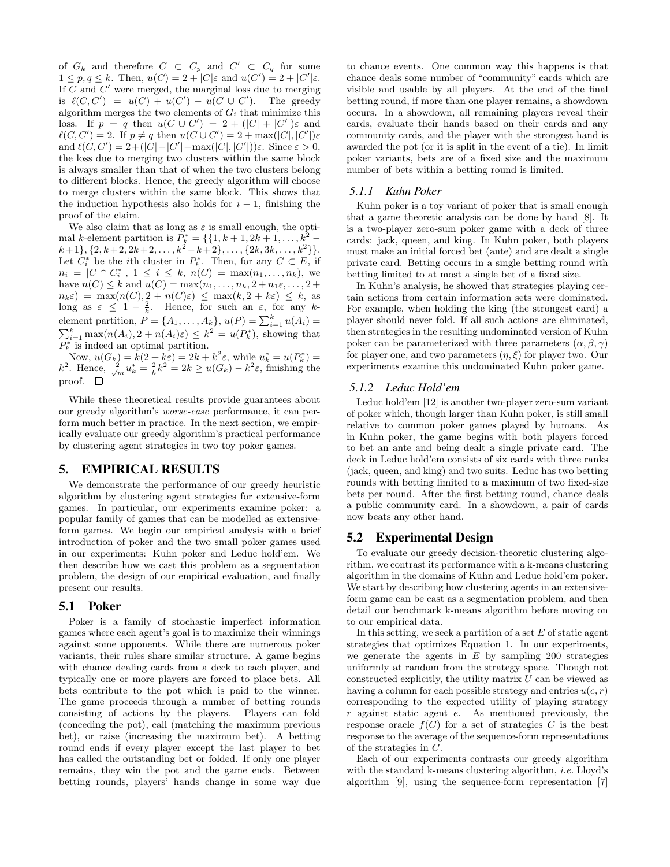of  $G_k$  and therefore  $C \subset C_p$  and  $C' \subset C_q$  for some  $1 \leq p, q \leq k$ . Then,  $u(C) = 2 + |C|\varepsilon$  and  $u(C') = 2 + |C'|\varepsilon$ . If  $C$  and  $C'$  were merged, the marginal loss due to merging is  $\ell(C, C') = u(C) + u(C') - u(C \cup C')$ . The greedy algorithm merges the two elements of  $G_i$  that minimize this loss. If  $p = q$  then  $u(C \cup C') = 2 + (|C| + |C'|)\varepsilon$  and  $\ell(C, C') = 2$ . If  $p \neq q$  then  $u(C \cup C') = 2 + \max(|C|, |C'|) \varepsilon$ and  $\ell(C, C') = 2 + (|C| + |C'| - \max(|C|, |C'|))\varepsilon$ . Since  $\varepsilon > 0$ , the loss due to merging two clusters within the same block is always smaller than that of when the two clusters belong to different blocks. Hence, the greedy algorithm will choose to merge clusters within the same block. This shows that the induction hypothesis also holds for  $i - 1$ , finishing the proof of the claim.

We also claim that as long as  $\varepsilon$  is small enough, the optimal k-element partition is  $\bar{P}_k^* = \{ \{1, k+1, 2k+1, ..., k^2 - \}$  $k+1\},\{2,k+2,2k+2,\ldots,k^2-k+2\},\ldots,\{2k,3k,\ldots,k^2\}\}.$ Let  $C_i^*$  be the *i*th cluster in  $P_k^*$ . Then, for any  $C \subset E$ , if  $n_i = |C \cap C_i^*|, 1 \le i \le k, n(C) = \max(n_1, \ldots, n_k),$  we have  $n(C) \leq k$  and  $u(C) = \max(n_1, ..., n_k, 2 + n_1 \varepsilon, ..., 2 + \varepsilon)$  $n_k \varepsilon$  = max $(n(C), 2 + n(C)\varepsilon) \leq$  max $(k, 2 + k\varepsilon) \leq k$ , as long as  $\varepsilon \leq 1 - \frac{2}{k}$ . Hence, for such an  $\varepsilon$ , for any kelement partition,  $P = \{A_1, \ldots, A_k\}, u(P) = \sum_{i=1}^k u(A_i) =$  $\sum_{i=1}^{k} \max(n(A_i), 2 + n(A_i)\varepsilon) \leq k^2 = u(P_k^*)$ , showing that  $\overline{P_k^*}$  is indeed an optimal partition.

Now,  $u(G_k) = k(2 + k\varepsilon) = 2k + k^2 \varepsilon$ , while  $u_k^* = u(P_k^*) =$  $k^2$ . Hence,  $\frac{2}{\sqrt{m}}u_k^* = \frac{2}{k}k^2 = 2k \ge u(G_k) - k^2\varepsilon$ , finishing the proof.

While these theoretical results provide guarantees about our greedy algorithm's worse-case performance, it can perform much better in practice. In the next section, we empirically evaluate our greedy algorithm's practical performance by clustering agent strategies in two toy poker games.

# 5. EMPIRICAL RESULTS

We demonstrate the performance of our greedy heuristic algorithm by clustering agent strategies for extensive-form games. In particular, our experiments examine poker: a popular family of games that can be modelled as extensiveform games. We begin our empirical analysis with a brief introduction of poker and the two small poker games used in our experiments: Kuhn poker and Leduc hold'em. We then describe how we cast this problem as a segmentation problem, the design of our empirical evaluation, and finally present our results.

## 5.1 Poker

Poker is a family of stochastic imperfect information games where each agent's goal is to maximize their winnings against some opponents. While there are numerous poker variants, their rules share similar structure. A game begins with chance dealing cards from a deck to each player, and typically one or more players are forced to place bets. All bets contribute to the pot which is paid to the winner. The game proceeds through a number of betting rounds consisting of actions by the players. Players can fold (conceding the pot), call (matching the maximum previous bet), or raise (increasing the maximum bet). A betting round ends if every player except the last player to bet has called the outstanding bet or folded. If only one player remains, they win the pot and the game ends. Between betting rounds, players' hands change in some way due to chance events. One common way this happens is that chance deals some number of "community" cards which are visible and usable by all players. At the end of the final betting round, if more than one player remains, a showdown occurs. In a showdown, all remaining players reveal their cards, evaluate their hands based on their cards and any community cards, and the player with the strongest hand is awarded the pot (or it is split in the event of a tie). In limit poker variants, bets are of a fixed size and the maximum number of bets within a betting round is limited.

# *5.1.1 Kuhn Poker*

Kuhn poker is a toy variant of poker that is small enough that a game theoretic analysis can be done by hand [8]. It is a two-player zero-sum poker game with a deck of three cards: jack, queen, and king. In Kuhn poker, both players must make an initial forced bet (ante) and are dealt a single private card. Betting occurs in a single betting round with betting limited to at most a single bet of a fixed size.

In Kuhn's analysis, he showed that strategies playing certain actions from certain information sets were dominated. For example, when holding the king (the strongest card) a player should never fold. If all such actions are eliminated, then strategies in the resulting undominated version of Kuhn poker can be parameterized with three parameters  $(\alpha, \beta, \gamma)$ for player one, and two parameters  $(\eta, \xi)$  for player two. Our experiments examine this undominated Kuhn poker game.

# *5.1.2 Leduc Hold'em*

Leduc hold'em [12] is another two-player zero-sum variant of poker which, though larger than Kuhn poker, is still small relative to common poker games played by humans. As in Kuhn poker, the game begins with both players forced to bet an ante and being dealt a single private card. The deck in Leduc hold'em consists of six cards with three ranks (jack, queen, and king) and two suits. Leduc has two betting rounds with betting limited to a maximum of two fixed-size bets per round. After the first betting round, chance deals a public community card. In a showdown, a pair of cards now beats any other hand.

# 5.2 Experimental Design

To evaluate our greedy decision-theoretic clustering algorithm, we contrast its performance with a k-means clustering algorithm in the domains of Kuhn and Leduc hold'em poker. We start by describing how clustering agents in an extensiveform game can be cast as a segmentation problem, and then detail our benchmark k-means algorithm before moving on to our empirical data.

In this setting, we seek a partition of a set  $E$  of static agent strategies that optimizes Equation 1. In our experiments, we generate the agents in  $E$  by sampling 200 strategies uniformly at random from the strategy space. Though not constructed explicitly, the utility matrix  $U$  can be viewed as having a column for each possible strategy and entries  $u(e, r)$ corresponding to the expected utility of playing strategy r against static agent e. As mentioned previously, the response oracle  $f(C)$  for a set of strategies C is the best response to the average of the sequence-form representations of the strategies in C.

Each of our experiments contrasts our greedy algorithm with the standard k-means clustering algorithm, *i.e.* Lloyd's algorithm [9], using the sequence-form representation [7]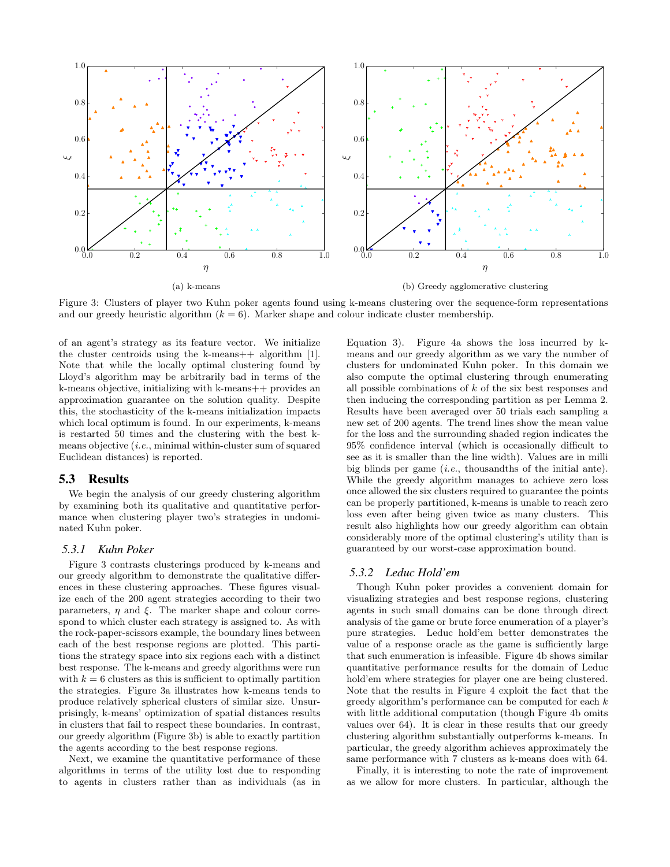

Figure 3: Clusters of player two Kuhn poker agents found using k-means clustering over the sequence-form representations and our greedy heuristic algorithm  $(k = 6)$ . Marker shape and colour indicate cluster membership.

of an agent's strategy as its feature vector. We initialize the cluster centroids using the k-means++ algorithm [1]. Note that while the locally optimal clustering found by Lloyd's algorithm may be arbitrarily bad in terms of the k-means objective, initializing with k-means++ provides an approximation guarantee on the solution quality. Despite this, the stochasticity of the k-means initialization impacts which local optimum is found. In our experiments, k-means is restarted 50 times and the clustering with the best kmeans objective  $(i.e., minimal within-cluster sum of squared)$ Euclidean distances) is reported.

#### 5.3 Results

We begin the analysis of our greedy clustering algorithm by examining both its qualitative and quantitative performance when clustering player two's strategies in undominated Kuhn poker.

#### *5.3.1 Kuhn Poker*

Figure 3 contrasts clusterings produced by k-means and our greedy algorithm to demonstrate the qualitative differences in these clustering approaches. These figures visualize each of the 200 agent strategies according to their two parameters,  $\eta$  and  $\xi$ . The marker shape and colour correspond to which cluster each strategy is assigned to. As with the rock-paper-scissors example, the boundary lines between each of the best response regions are plotted. This partitions the strategy space into six regions each with a distinct best response. The k-means and greedy algorithms were run with  $k = 6$  clusters as this is sufficient to optimally partition the strategies. Figure 3a illustrates how k-means tends to produce relatively spherical clusters of similar size. Unsurprisingly, k-means' optimization of spatial distances results in clusters that fail to respect these boundaries. In contrast, our greedy algorithm (Figure 3b) is able to exactly partition the agents according to the best response regions.

Next, we examine the quantitative performance of these algorithms in terms of the utility lost due to responding to agents in clusters rather than as individuals (as in Equation 3). Figure 4a shows the loss incurred by kmeans and our greedy algorithm as we vary the number of clusters for undominated Kuhn poker. In this domain we also compute the optimal clustering through enumerating all possible combinations of k of the six best responses and then inducing the corresponding partition as per Lemma 2. Results have been averaged over 50 trials each sampling a new set of 200 agents. The trend lines show the mean value for the loss and the surrounding shaded region indicates the 95% confidence interval (which is occasionally difficult to see as it is smaller than the line width). Values are in milli big blinds per game  $(i.e.,$  thousandths of the initial ante). While the greedy algorithm manages to achieve zero loss once allowed the six clusters required to guarantee the points can be properly partitioned, k-means is unable to reach zero loss even after being given twice as many clusters. This result also highlights how our greedy algorithm can obtain considerably more of the optimal clustering's utility than is guaranteed by our worst-case approximation bound.

## *5.3.2 Leduc Hold'em*

Though Kuhn poker provides a convenient domain for visualizing strategies and best response regions, clustering agents in such small domains can be done through direct analysis of the game or brute force enumeration of a player's pure strategies. Leduc hold'em better demonstrates the value of a response oracle as the game is sufficiently large that such enumeration is infeasible. Figure 4b shows similar quantitative performance results for the domain of Leduc hold'em where strategies for player one are being clustered. Note that the results in Figure 4 exploit the fact that the greedy algorithm's performance can be computed for each k with little additional computation (though Figure 4b omits) values over 64). It is clear in these results that our greedy clustering algorithm substantially outperforms k-means. In particular, the greedy algorithm achieves approximately the same performance with 7 clusters as k-means does with 64.

Finally, it is interesting to note the rate of improvement as we allow for more clusters. In particular, although the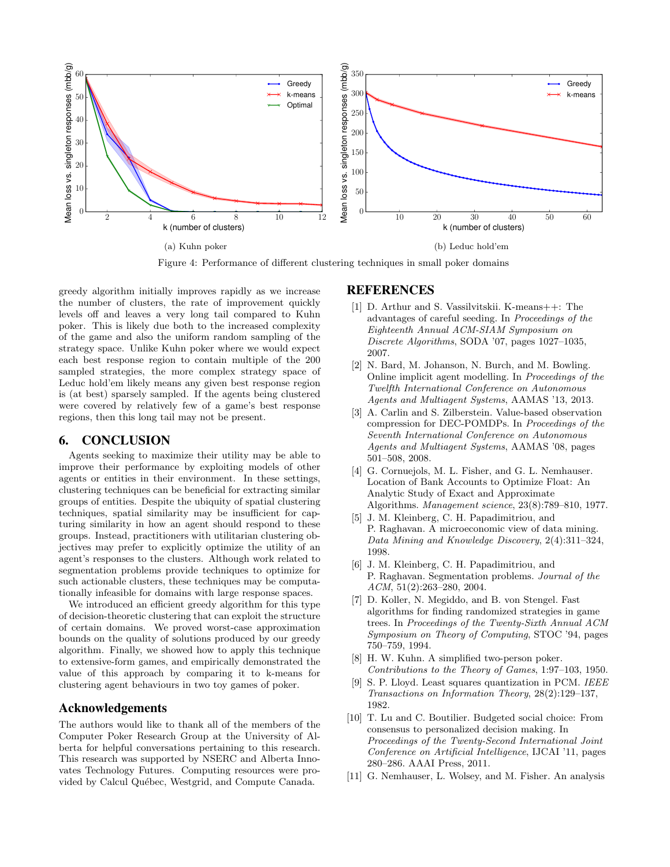

Figure 4: Performance of different clustering techniques in small poker domains

greedy algorithm initially improves rapidly as we increase the number of clusters, the rate of improvement quickly levels off and leaves a very long tail compared to Kuhn poker. This is likely due both to the increased complexity of the game and also the uniform random sampling of the strategy space. Unlike Kuhn poker where we would expect each best response region to contain multiple of the 200 sampled strategies, the more complex strategy space of Leduc hold'em likely means any given best response region is (at best) sparsely sampled. If the agents being clustered were covered by relatively few of a game's best response regions, then this long tail may not be present.

## 6. CONCLUSION

Agents seeking to maximize their utility may be able to improve their performance by exploiting models of other agents or entities in their environment. In these settings, clustering techniques can be beneficial for extracting similar groups of entities. Despite the ubiquity of spatial clustering techniques, spatial similarity may be insufficient for capturing similarity in how an agent should respond to these groups. Instead, practitioners with utilitarian clustering objectives may prefer to explicitly optimize the utility of an agent's responses to the clusters. Although work related to segmentation problems provide techniques to optimize for such actionable clusters, these techniques may be computationally infeasible for domains with large response spaces.

We introduced an efficient greedy algorithm for this type of decision-theoretic clustering that can exploit the structure of certain domains. We proved worst-case approximation bounds on the quality of solutions produced by our greedy algorithm. Finally, we showed how to apply this technique to extensive-form games, and empirically demonstrated the value of this approach by comparing it to k-means for clustering agent behaviours in two toy games of poker.

## Acknowledgements

The authors would like to thank all of the members of the Computer Poker Research Group at the University of Alberta for helpful conversations pertaining to this research. This research was supported by NSERC and Alberta Innovates Technology Futures. Computing resources were provided by Calcul Québec, Westgrid, and Compute Canada.

# **REFERENCES**

- [1] D. Arthur and S. Vassilvitskii. K-means++: The advantages of careful seeding. In Proceedings of the Eighteenth Annual ACM-SIAM Symposium on Discrete Algorithms, SODA '07, pages 1027–1035, 2007.
- [2] N. Bard, M. Johanson, N. Burch, and M. Bowling. Online implicit agent modelling. In Proceedings of the Twelfth International Conference on Autonomous Agents and Multiagent Systems, AAMAS '13, 2013.
- [3] A. Carlin and S. Zilberstein. Value-based observation compression for DEC-POMDPs. In Proceedings of the Seventh International Conference on Autonomous Agents and Multiagent Systems, AAMAS '08, pages 501–508, 2008.
- [4] G. Cornuejols, M. L. Fisher, and G. L. Nemhauser. Location of Bank Accounts to Optimize Float: An Analytic Study of Exact and Approximate Algorithms. Management science, 23(8):789–810, 1977.
- [5] J. M. Kleinberg, C. H. Papadimitriou, and P. Raghavan. A microeconomic view of data mining. Data Mining and Knowledge Discovery, 2(4):311–324, 1998.
- [6] J. M. Kleinberg, C. H. Papadimitriou, and P. Raghavan. Segmentation problems. Journal of the ACM, 51(2):263–280, 2004.
- [7] D. Koller, N. Megiddo, and B. von Stengel. Fast algorithms for finding randomized strategies in game trees. In Proceedings of the Twenty-Sixth Annual ACM Symposium on Theory of Computing, STOC '94, pages 750–759, 1994.
- [8] H. W. Kuhn. A simplified two-person poker. Contributions to the Theory of Games, 1:97–103, 1950.
- [9] S. P. Lloyd. Least squares quantization in PCM. IEEE Transactions on Information Theory, 28(2):129–137, 1982.
- [10] T. Lu and C. Boutilier. Budgeted social choice: From consensus to personalized decision making. In Proceedings of the Twenty-Second International Joint Conference on Artificial Intelligence, IJCAI '11, pages 280–286. AAAI Press, 2011.
- [11] G. Nemhauser, L. Wolsey, and M. Fisher. An analysis